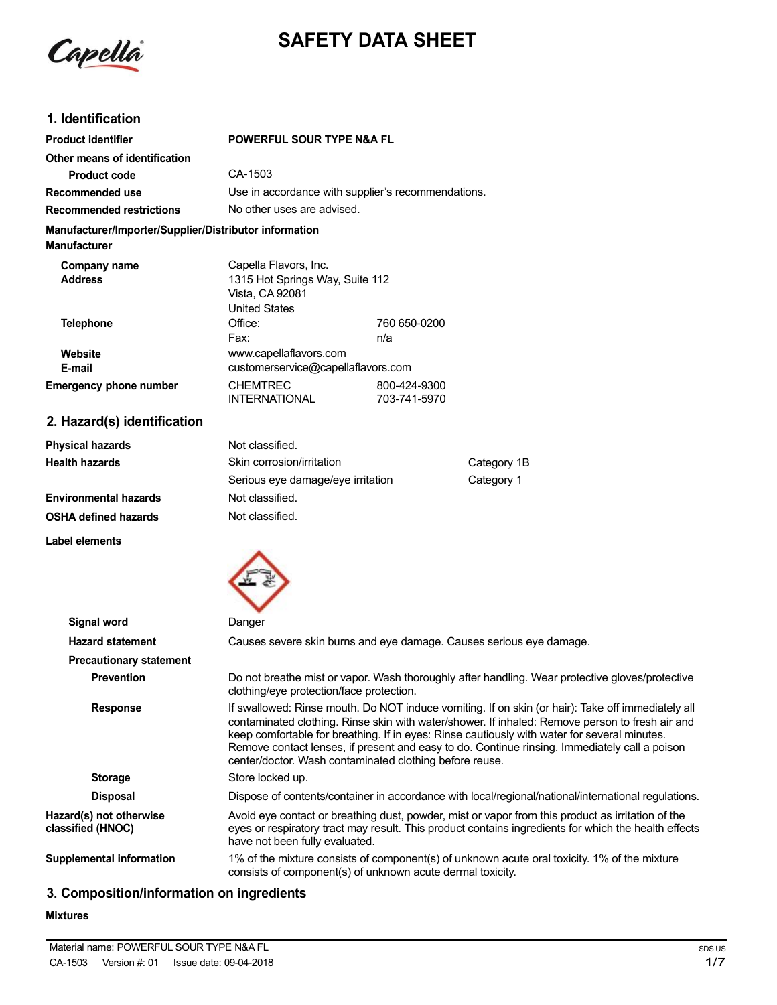

# **SAFETY DATA SHEET**

# **1. Identification**

| <b>Product identifier</b>                                                     | POWERFUL SOUR TYPE N&A FL                                                                           |                              |             |
|-------------------------------------------------------------------------------|-----------------------------------------------------------------------------------------------------|------------------------------|-------------|
| Other means of identification                                                 |                                                                                                     |                              |             |
| Product code                                                                  | CA-1503                                                                                             |                              |             |
| Recommended use                                                               | Use in accordance with supplier's recommendations.                                                  |                              |             |
| <b>Recommended restrictions</b>                                               |                                                                                                     | No other uses are advised.   |             |
| Manufacturer/Importer/Supplier/Distributor information<br><b>Manufacturer</b> |                                                                                                     |                              |             |
| Company name<br><b>Address</b>                                                | Capella Flavors, Inc.<br>1315 Hot Springs Way, Suite 112<br>Vista, CA 92081<br><b>United States</b> |                              |             |
| <b>Telephone</b>                                                              | Office:<br>Fax:                                                                                     | 760 650-0200<br>n/a          |             |
| Website<br>E-mail                                                             | www.capellaflavors.com<br>customerservice@capellaflavors.com                                        |                              |             |
| <b>Emergency phone number</b>                                                 | <b>CHEMTREC</b><br><b>INTERNATIONAL</b>                                                             | 800-424-9300<br>703-741-5970 |             |
| 2. Hazard(s) identification                                                   |                                                                                                     |                              |             |
| <b>Physical hazards</b>                                                       | Not classified.                                                                                     |                              |             |
| <b>Health hazards</b>                                                         | Skin corrosion/irritation                                                                           |                              | Category 1B |
|                                                                               | Serious eye damage/eye irritation                                                                   |                              | Category 1  |
| <b>Environmental hazards</b>                                                  | Not classified.                                                                                     |                              |             |
| <b>OSHA defined hazards</b>                                                   | Not classified.                                                                                     |                              |             |



| <b>Signal word</b>                           | Danger                                                                                                                                                                                                                                                                                                                                                                                                                                                           |  |  |
|----------------------------------------------|------------------------------------------------------------------------------------------------------------------------------------------------------------------------------------------------------------------------------------------------------------------------------------------------------------------------------------------------------------------------------------------------------------------------------------------------------------------|--|--|
| <b>Hazard statement</b>                      | Causes severe skin burns and eye damage. Causes serious eye damage.                                                                                                                                                                                                                                                                                                                                                                                              |  |  |
| <b>Precautionary statement</b>               |                                                                                                                                                                                                                                                                                                                                                                                                                                                                  |  |  |
| <b>Prevention</b>                            | Do not breathe mist or vapor. Wash thoroughly after handling. Wear protective gloves/protective<br>clothing/eye protection/face protection.                                                                                                                                                                                                                                                                                                                      |  |  |
| <b>Response</b>                              | If swallowed: Rinse mouth. Do NOT induce vomiting. If on skin (or hair): Take off immediately all<br>contaminated clothing. Rinse skin with water/shower. If inhaled: Remove person to fresh air and<br>keep comfortable for breathing. If in eyes: Rinse cautiously with water for several minutes.<br>Remove contact lenses, if present and easy to do. Continue rinsing. Immediately call a poison<br>center/doctor. Wash contaminated clothing before reuse. |  |  |
| <b>Storage</b>                               | Store locked up.                                                                                                                                                                                                                                                                                                                                                                                                                                                 |  |  |
| <b>Disposal</b>                              | Dispose of contents/container in accordance with local/regional/national/international regulations.                                                                                                                                                                                                                                                                                                                                                              |  |  |
| Hazard(s) not otherwise<br>classified (HNOC) | Avoid eye contact or breathing dust, powder, mist or vapor from this product as irritation of the<br>eyes or respiratory tract may result. This product contains ingredients for which the health effects<br>have not been fully evaluated.                                                                                                                                                                                                                      |  |  |
| Supplemental information                     | 1% of the mixture consists of component(s) of unknown acute oral toxicity. 1% of the mixture<br>consists of component(s) of unknown acute dermal toxicity.                                                                                                                                                                                                                                                                                                       |  |  |

# **3. Composition/information on ingredients**

#### **Mixtures**

**Label elements**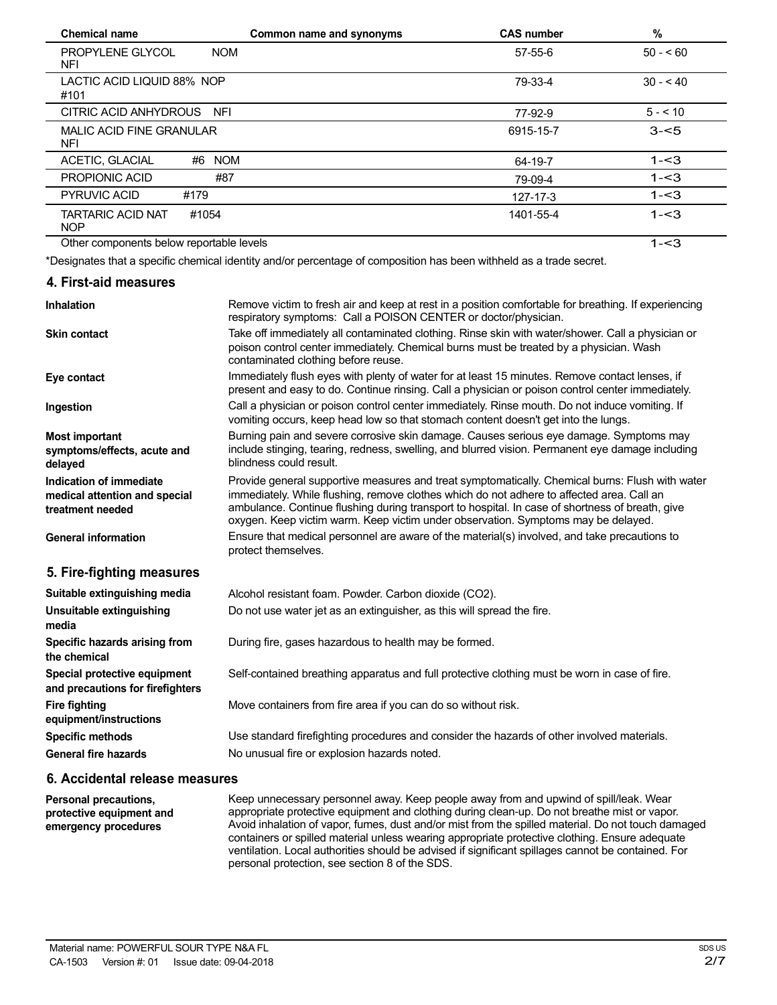| <b>Chemical name</b>                            | Common name and synonyms | <b>CAS number</b> | %         |
|-------------------------------------------------|--------------------------|-------------------|-----------|
| PROPYLENE GLYCOL<br><b>NOM</b><br>NFI           |                          | $57 - 55 - 6$     | $50 - 60$ |
| LACTIC ACID LIQUID 88% NOP<br>#101              |                          | 79-33-4           | $30 - 40$ |
| CITRIC ACID ANHYDROUS<br><b>NFI</b>             |                          | 77-92-9           | $5 - 10$  |
| <b>MALIC ACID FINE GRANULAR</b><br><b>NFI</b>   |                          | 6915-15-7         | $3 - 5$   |
| <b>NOM</b><br><b>ACETIC, GLACIAL</b><br>#6      |                          | 64-19-7           | $1 - 3$   |
| <b>PROPIONIC ACID</b><br>#87                    |                          | 79-09-4           | $1 - 3$   |
| <b>PYRUVIC ACID</b><br>#179                     |                          | 127-17-3          | $1 - 3$   |
| <b>TARTARIC ACID NAT</b><br>#1054<br><b>NOP</b> |                          | 1401-55-4         | $1 - 3$   |
| Other components below reportable levels        |                          |                   | $1 - 3$   |

\*Designates that a specific chemical identity and/or percentage of composition has been withheld as a trade secret.

#### **4. First-aid measures**

| <b>Inhalation</b>                                                            | Remove victim to fresh air and keep at rest in a position comfortable for breathing. If experiencing<br>respiratory symptoms: Call a POISON CENTER or doctor/physician.                                                                                                                                                                                                              |  |
|------------------------------------------------------------------------------|--------------------------------------------------------------------------------------------------------------------------------------------------------------------------------------------------------------------------------------------------------------------------------------------------------------------------------------------------------------------------------------|--|
| <b>Skin contact</b>                                                          | Take off immediately all contaminated clothing. Rinse skin with water/shower. Call a physician or<br>poison control center immediately. Chemical burns must be treated by a physician. Wash<br>contaminated clothing before reuse.                                                                                                                                                   |  |
| Eye contact                                                                  | Immediately flush eyes with plenty of water for at least 15 minutes. Remove contact lenses, if<br>present and easy to do. Continue rinsing. Call a physician or poison control center immediately.                                                                                                                                                                                   |  |
| Ingestion                                                                    | Call a physician or poison control center immediately. Rinse mouth. Do not induce vomiting. If<br>vomiting occurs, keep head low so that stomach content doesn't get into the lungs.                                                                                                                                                                                                 |  |
| <b>Most important</b><br>symptoms/effects, acute and<br>delayed              | Burning pain and severe corrosive skin damage. Causes serious eye damage. Symptoms may<br>include stinging, tearing, redness, swelling, and blurred vision. Permanent eye damage including<br>blindness could result.                                                                                                                                                                |  |
| Indication of immediate<br>medical attention and special<br>treatment needed | Provide general supportive measures and treat symptomatically. Chemical burns: Flush with water<br>immediately. While flushing, remove clothes which do not adhere to affected area. Call an<br>ambulance. Continue flushing during transport to hospital. In case of shortness of breath, give<br>oxygen. Keep victim warm. Keep victim under observation. Symptoms may be delayed. |  |
| <b>General information</b>                                                   | Ensure that medical personnel are aware of the material(s) involved, and take precautions to<br>protect themselves.                                                                                                                                                                                                                                                                  |  |
| 5. Fire-fighting measures                                                    |                                                                                                                                                                                                                                                                                                                                                                                      |  |
| Suitable extinguishing media                                                 | Alcohol resistant foam. Powder. Carbon dioxide (CO2).                                                                                                                                                                                                                                                                                                                                |  |
| Unsuitable extinguishing<br>media                                            | Do not use water jet as an extinguisher, as this will spread the fire.                                                                                                                                                                                                                                                                                                               |  |
| Specific hazards arising from<br>the chemical                                | During fire, gases hazardous to health may be formed.                                                                                                                                                                                                                                                                                                                                |  |
| Special protective equipment<br>and precautions for firefighters             | Self-contained breathing apparatus and full protective clothing must be worn in case of fire.                                                                                                                                                                                                                                                                                        |  |
| <b>Fire fighting</b><br>equipment/instructions                               | Move containers from fire area if you can do so without risk.                                                                                                                                                                                                                                                                                                                        |  |
| <b>Specific methods</b>                                                      | Use standard firefighting procedures and consider the hazards of other involved materials.                                                                                                                                                                                                                                                                                           |  |
| <b>General fire hazards</b>                                                  | No unusual fire or explosion hazards noted.                                                                                                                                                                                                                                                                                                                                          |  |

## **6. Accidental release measures**

**Personal precautions, protective equipment and emergency procedures** Keep unnecessary personnel away. Keep people away from and upwind of spill/leak. Wear appropriate protective equipment and clothing during clean-up. Do not breathe mist or vapor. Avoid inhalation of vapor, fumes, dust and/or mist from the spilled material. Do not touch damaged containers or spilled material unless wearing appropriate protective clothing. Ensure adequate ventilation. Local authorities should be advised if significant spillages cannot be contained. For personal protection, see section 8 of the SDS.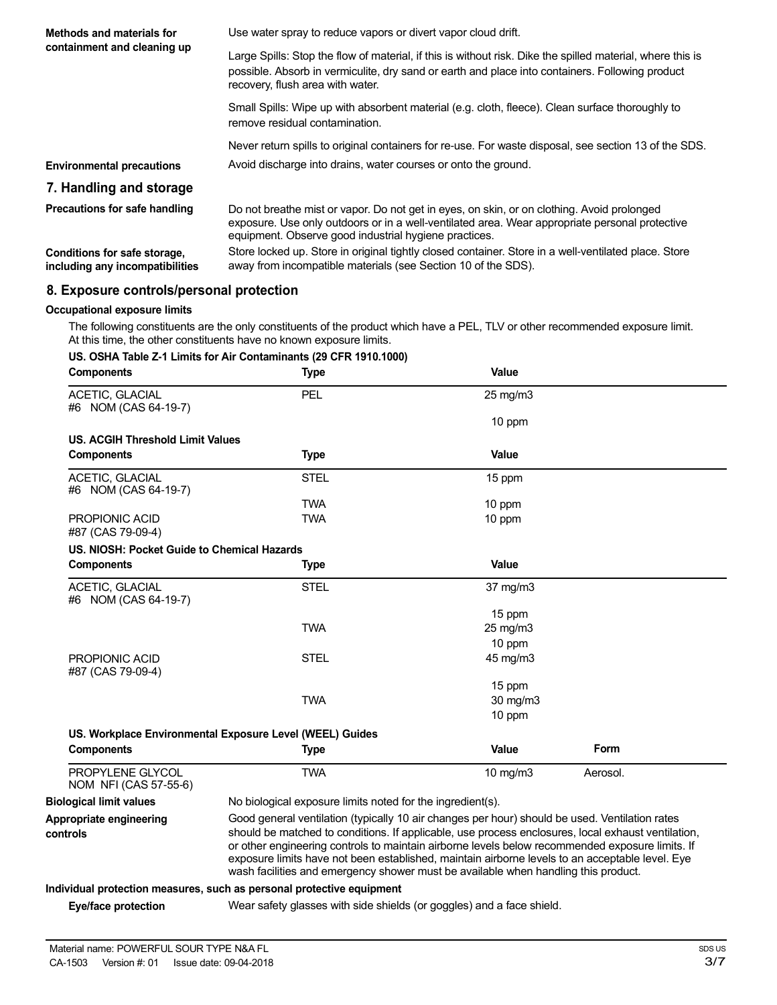| Methods and materials for                                       | Use water spray to reduce vapors or divert vapor cloud drift.                                                                                                                                                                                         |  |
|-----------------------------------------------------------------|-------------------------------------------------------------------------------------------------------------------------------------------------------------------------------------------------------------------------------------------------------|--|
| containment and cleaning up                                     | Large Spills: Stop the flow of material, if this is without risk. Dike the spilled material, where this is<br>possible. Absorb in vermiculite, dry sand or earth and place into containers. Following product<br>recovery, flush area with water.     |  |
|                                                                 | Small Spills: Wipe up with absorbent material (e.g. cloth, fleece). Clean surface thoroughly to<br>remove residual contamination.                                                                                                                     |  |
|                                                                 | Never return spills to original containers for re-use. For waste disposal, see section 13 of the SDS.                                                                                                                                                 |  |
| <b>Environmental precautions</b>                                | Avoid discharge into drains, water courses or onto the ground.                                                                                                                                                                                        |  |
| 7. Handling and storage                                         |                                                                                                                                                                                                                                                       |  |
| Precautions for safe handling                                   | Do not breathe mist or vapor. Do not get in eyes, on skin, or on clothing. Avoid prolonged<br>exposure. Use only outdoors or in a well-ventilated area. Wear appropriate personal protective<br>equipment. Observe good industrial hygiene practices. |  |
| Conditions for safe storage,<br>including any incompatibilities | Store locked up. Store in original tightly closed container. Store in a well-ventilated place. Store<br>away from incompatible materials (see Section 10 of the SDS).                                                                                 |  |

# **8. Exposure controls/personal protection**

## **Occupational exposure limits**

The following constituents are the only constituents of the product which have a PEL, TLV or other recommended exposure limit. At this time, the other constituents have no known exposure limits.

#### **US. OSHA Table Z-1 Limits for Air Contaminants (29 CFR 1910.1000)**

| <b>Components</b>                           | <b>Type</b>                                                                                                                                                                                                                                                                                                                                                                                                                                                                                      | Value        |          |  |
|---------------------------------------------|--------------------------------------------------------------------------------------------------------------------------------------------------------------------------------------------------------------------------------------------------------------------------------------------------------------------------------------------------------------------------------------------------------------------------------------------------------------------------------------------------|--------------|----------|--|
| ACETIC, GLACIAL<br>#6 NOM (CAS 64-19-7)     | <b>PEL</b>                                                                                                                                                                                                                                                                                                                                                                                                                                                                                       | 25 mg/m3     |          |  |
|                                             |                                                                                                                                                                                                                                                                                                                                                                                                                                                                                                  | 10 ppm       |          |  |
| <b>US. ACGIH Threshold Limit Values</b>     |                                                                                                                                                                                                                                                                                                                                                                                                                                                                                                  |              |          |  |
| <b>Components</b>                           | Type                                                                                                                                                                                                                                                                                                                                                                                                                                                                                             | Value        |          |  |
| ACETIC, GLACIAL<br>#6 NOM (CAS 64-19-7)     | <b>STEL</b>                                                                                                                                                                                                                                                                                                                                                                                                                                                                                      | 15 ppm       |          |  |
|                                             | <b>TWA</b>                                                                                                                                                                                                                                                                                                                                                                                                                                                                                       | 10 ppm       |          |  |
| PROPIONIC ACID<br>#87 (CAS 79-09-4)         | <b>TWA</b>                                                                                                                                                                                                                                                                                                                                                                                                                                                                                       | 10 ppm       |          |  |
| US. NIOSH: Pocket Guide to Chemical Hazards |                                                                                                                                                                                                                                                                                                                                                                                                                                                                                                  |              |          |  |
| <b>Components</b>                           | Type                                                                                                                                                                                                                                                                                                                                                                                                                                                                                             | Value        |          |  |
| ACETIC, GLACIAL<br>#6 NOM (CAS 64-19-7)     | <b>STEL</b>                                                                                                                                                                                                                                                                                                                                                                                                                                                                                      | 37 mg/m3     |          |  |
|                                             |                                                                                                                                                                                                                                                                                                                                                                                                                                                                                                  | 15 ppm       |          |  |
|                                             | <b>TWA</b>                                                                                                                                                                                                                                                                                                                                                                                                                                                                                       | 25 mg/m3     |          |  |
|                                             |                                                                                                                                                                                                                                                                                                                                                                                                                                                                                                  | 10 ppm       |          |  |
| PROPIONIC ACID<br>#87 (CAS 79-09-4)         | <b>STEL</b>                                                                                                                                                                                                                                                                                                                                                                                                                                                                                      | 45 mg/m3     |          |  |
|                                             |                                                                                                                                                                                                                                                                                                                                                                                                                                                                                                  | 15 ppm       |          |  |
|                                             | <b>TWA</b>                                                                                                                                                                                                                                                                                                                                                                                                                                                                                       | 30 mg/m3     |          |  |
|                                             |                                                                                                                                                                                                                                                                                                                                                                                                                                                                                                  | 10 ppm       |          |  |
|                                             | US. Workplace Environmental Exposure Level (WEEL) Guides                                                                                                                                                                                                                                                                                                                                                                                                                                         |              |          |  |
| <b>Components</b>                           | <b>Type</b>                                                                                                                                                                                                                                                                                                                                                                                                                                                                                      | <b>Value</b> | Form     |  |
| PROPYLENE GLYCOL<br>NOM NFI (CAS 57-55-6)   | <b>TWA</b>                                                                                                                                                                                                                                                                                                                                                                                                                                                                                       | 10 mg/m3     | Aerosol. |  |
| <b>Biological limit values</b>              | No biological exposure limits noted for the ingredient(s).                                                                                                                                                                                                                                                                                                                                                                                                                                       |              |          |  |
| Appropriate engineering<br>controls         | Good general ventilation (typically 10 air changes per hour) should be used. Ventilation rates<br>should be matched to conditions. If applicable, use process enclosures, local exhaust ventilation,<br>or other engineering controls to maintain airborne levels below recommended exposure limits. If<br>exposure limits have not been established, maintain airborne levels to an acceptable level. Eye<br>wash facilities and emergency shower must be available when handling this product. |              |          |  |
|                                             | Individual protection measures, such as personal protective equipment                                                                                                                                                                                                                                                                                                                                                                                                                            |              |          |  |
| Eye/face protection                         | Wear safety glasses with side shields (or goggles) and a face shield.                                                                                                                                                                                                                                                                                                                                                                                                                            |              |          |  |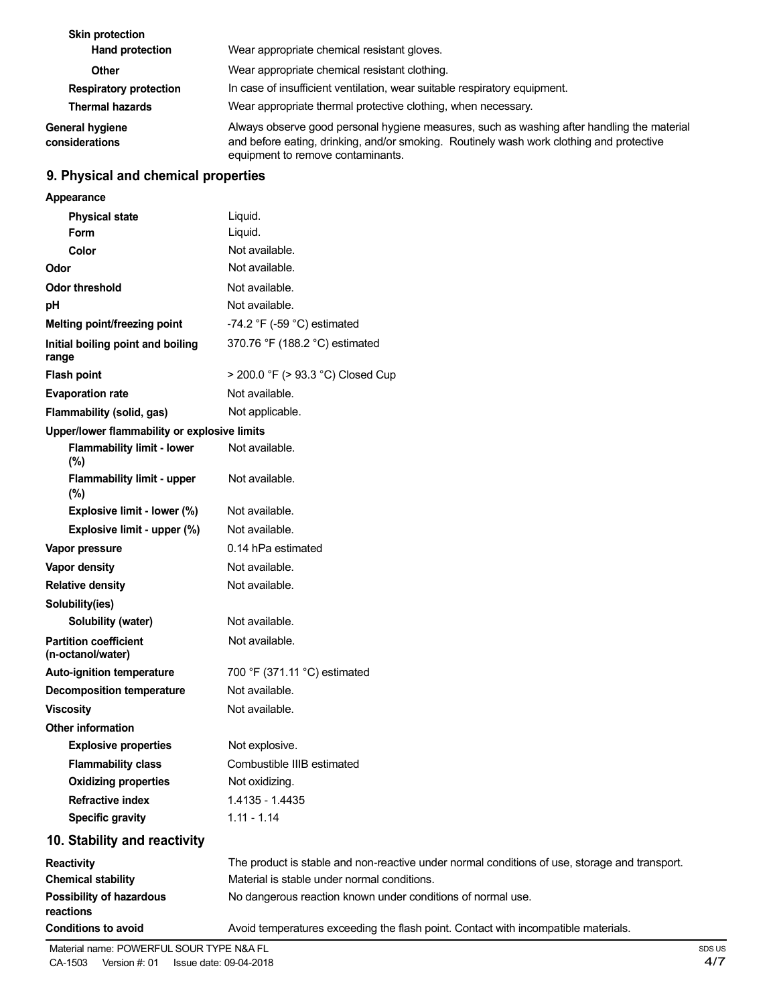| <b>Skin protection</b><br><b>Hand protection</b>        | Wear appropriate chemical resistant gloves.                                                                                                                                                                                 |
|---------------------------------------------------------|-----------------------------------------------------------------------------------------------------------------------------------------------------------------------------------------------------------------------------|
| <b>Other</b>                                            | Wear appropriate chemical resistant clothing.                                                                                                                                                                               |
| <b>Respiratory protection</b><br><b>Thermal hazards</b> | In case of insufficient ventilation, wear suitable respiratory equipment.<br>Wear appropriate thermal protective clothing, when necessary.                                                                                  |
| <b>General hygiene</b><br>considerations                | Always observe good personal hygiene measures, such as washing after handling the material<br>and before eating, drinking, and/or smoking. Routinely wash work clothing and protective<br>equipment to remove contaminants. |

# **9. Physical and chemical properties**

| Appearance                                        |                                                                                               |
|---------------------------------------------------|-----------------------------------------------------------------------------------------------|
| <b>Physical state</b>                             | Liquid.                                                                                       |
| Form                                              | Liquid.                                                                                       |
| Color                                             | Not available.                                                                                |
| Odor                                              | Not available.                                                                                |
| <b>Odor threshold</b>                             | Not available.                                                                                |
| pH                                                | Not available.                                                                                |
| Melting point/freezing point                      | -74.2 $\degree$ F (-59 $\degree$ C) estimated                                                 |
| Initial boiling point and boiling<br>range        | 370.76 °F (188.2 °C) estimated                                                                |
| <b>Flash point</b>                                | > 200.0 °F (> 93.3 °C) Closed Cup                                                             |
| <b>Evaporation rate</b>                           | Not available.                                                                                |
| Flammability (solid, gas)                         | Not applicable.                                                                               |
| Upper/lower flammability or explosive limits      |                                                                                               |
| <b>Flammability limit - lower</b><br>(%)          | Not available.                                                                                |
| <b>Flammability limit - upper</b><br>(%)          | Not available.                                                                                |
| Explosive limit - lower (%)                       | Not available.                                                                                |
| Explosive limit - upper (%)                       | Not available.                                                                                |
| Vapor pressure                                    | 0.14 hPa estimated                                                                            |
| Vapor density                                     | Not available.                                                                                |
| <b>Relative density</b>                           | Not available.                                                                                |
| Solubility(ies)                                   |                                                                                               |
| Solubility (water)                                | Not available.                                                                                |
| <b>Partition coefficient</b><br>(n-octanol/water) | Not available.                                                                                |
| Auto-ignition temperature                         | 700 °F (371.11 °C) estimated                                                                  |
| <b>Decomposition temperature</b>                  | Not available.                                                                                |
| <b>Viscosity</b>                                  | Not available.                                                                                |
| Other information                                 |                                                                                               |
| <b>Explosive properties</b>                       | Not explosive.                                                                                |
| <b>Flammability class</b>                         | Combustible IIIB estimated                                                                    |
| <b>Oxidizing properties</b>                       | Not oxidizing.                                                                                |
| <b>Refractive index</b>                           | 1.4135 - 1.4435                                                                               |
| <b>Specific gravity</b>                           | $1.11 - 1.14$                                                                                 |
| 10. Stability and reactivity                      |                                                                                               |
| <b>Reactivity</b>                                 | The product is stable and non-reactive under normal conditions of use, storage and transport. |
| <b>Chemical stability</b>                         | Material is stable under normal conditions.                                                   |
| <b>Possibility of hazardous</b><br>reactions      | No dangerous reaction known under conditions of normal use.                                   |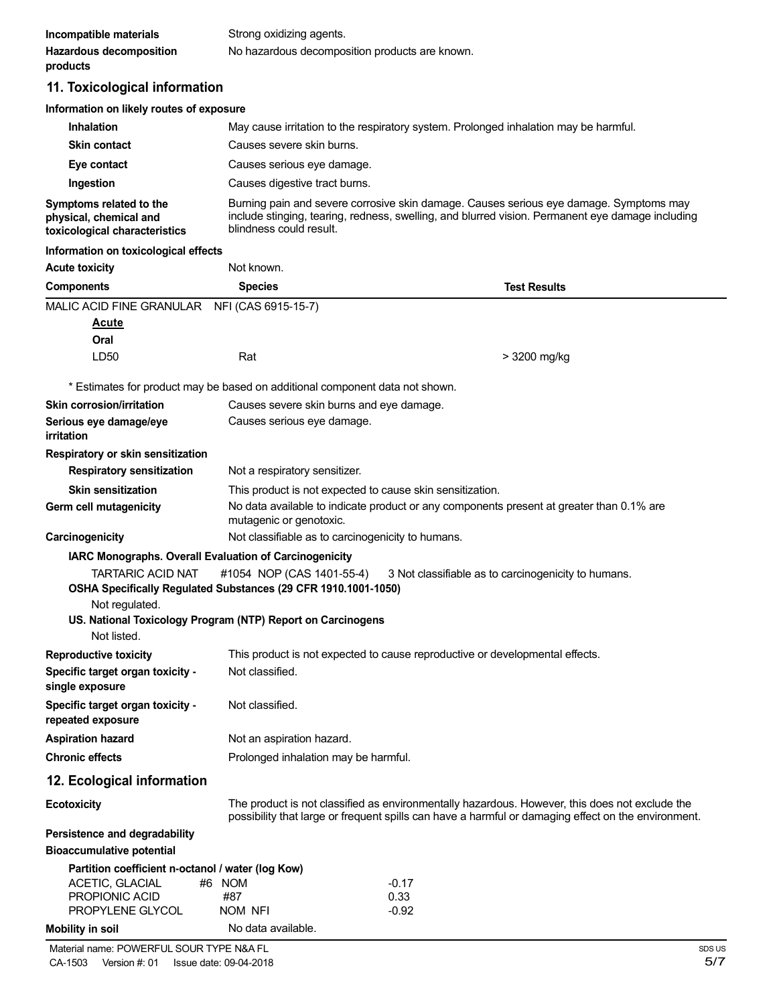| Incompatible materials  | Strong oxidizing agents.                       |
|-------------------------|------------------------------------------------|
| Hazardous decomposition | No hazardous decomposition products are known. |
| products                |                                                |

# **11. Toxicological information**

## **Information on likely routes of exposure**

| <b>Inhalation</b>                                                                  | May cause irritation to the respiratory system. Prolonged inhalation may be harmful.                                                                                                                                  |  |  |
|------------------------------------------------------------------------------------|-----------------------------------------------------------------------------------------------------------------------------------------------------------------------------------------------------------------------|--|--|
| <b>Skin contact</b>                                                                | Causes severe skin burns.                                                                                                                                                                                             |  |  |
| Eye contact                                                                        | Causes serious eye damage.                                                                                                                                                                                            |  |  |
| Ingestion                                                                          | Causes digestive tract burns.                                                                                                                                                                                         |  |  |
| Symptoms related to the<br>physical, chemical and<br>toxicological characteristics | Burning pain and severe corrosive skin damage. Causes serious eye damage. Symptoms may<br>include stinging, tearing, redness, swelling, and blurred vision. Permanent eye damage including<br>blindness could result. |  |  |

## **Information on toxicological effects**

| <b>Acute toxicity</b>                                                                      | Not known.                                                                   |                                                                                                                                                                                                       |
|--------------------------------------------------------------------------------------------|------------------------------------------------------------------------------|-------------------------------------------------------------------------------------------------------------------------------------------------------------------------------------------------------|
| <b>Components</b>                                                                          | <b>Species</b>                                                               | <b>Test Results</b>                                                                                                                                                                                   |
| MALIC ACID FINE GRANULAR                                                                   | NFI (CAS 6915-15-7)                                                          |                                                                                                                                                                                                       |
| Acute                                                                                      |                                                                              |                                                                                                                                                                                                       |
| Oral                                                                                       |                                                                              |                                                                                                                                                                                                       |
| LD50                                                                                       | Rat                                                                          | > 3200 mg/kg                                                                                                                                                                                          |
| * Estimates for product may be based on additional component data not shown.               |                                                                              |                                                                                                                                                                                                       |
| Skin corrosion/irritation                                                                  |                                                                              | Causes severe skin burns and eye damage.                                                                                                                                                              |
| Serious eye damage/eye<br>irritation                                                       | Causes serious eye damage.                                                   |                                                                                                                                                                                                       |
| Respiratory or skin sensitization                                                          |                                                                              |                                                                                                                                                                                                       |
| <b>Respiratory sensitization</b>                                                           | Not a respiratory sensitizer.                                                |                                                                                                                                                                                                       |
| <b>Skin sensitization</b>                                                                  |                                                                              | This product is not expected to cause skin sensitization.                                                                                                                                             |
| Germ cell mutagenicity                                                                     | mutagenic or genotoxic.                                                      | No data available to indicate product or any components present at greater than 0.1% are                                                                                                              |
| Carcinogenicity                                                                            |                                                                              | Not classifiable as to carcinogenicity to humans.                                                                                                                                                     |
| <b>IARC Monographs. Overall Evaluation of Carcinogenicity</b>                              |                                                                              |                                                                                                                                                                                                       |
| <b>TARTARIC ACID NAT</b><br>OSHA Specifically Regulated Substances (29 CFR 1910.1001-1050) | #1054 NOP (CAS 1401-55-4)                                                    | 3 Not classifiable as to carcinogenicity to humans.                                                                                                                                                   |
| Not regulated.                                                                             |                                                                              |                                                                                                                                                                                                       |
| US. National Toxicology Program (NTP) Report on Carcinogens                                |                                                                              |                                                                                                                                                                                                       |
| Not listed.                                                                                |                                                                              |                                                                                                                                                                                                       |
| <b>Reproductive toxicity</b>                                                               | This product is not expected to cause reproductive or developmental effects. |                                                                                                                                                                                                       |
| Specific target organ toxicity -<br>single exposure                                        | Not classified.                                                              |                                                                                                                                                                                                       |
| Specific target organ toxicity -<br>repeated exposure                                      | Not classified.                                                              |                                                                                                                                                                                                       |
| <b>Aspiration hazard</b>                                                                   | Not an aspiration hazard.                                                    |                                                                                                                                                                                                       |
| <b>Chronic effects</b>                                                                     | Prolonged inhalation may be harmful.                                         |                                                                                                                                                                                                       |
| 12. Ecological information                                                                 |                                                                              |                                                                                                                                                                                                       |
| <b>Ecotoxicity</b>                                                                         |                                                                              | The product is not classified as environmentally hazardous. However, this does not exclude the<br>possibility that large or frequent spills can have a harmful or damaging effect on the environment. |
| <b>Persistence and degradability</b>                                                       |                                                                              |                                                                                                                                                                                                       |
| <b>Bioaccumulative potential</b>                                                           |                                                                              |                                                                                                                                                                                                       |
| Partition coefficient n-octanol / water (log Kow)                                          |                                                                              |                                                                                                                                                                                                       |
| ACETIC, GLACIAL<br>PROPIONIC ACID                                                          | #6 NOM<br>#87                                                                | $-0.17$                                                                                                                                                                                               |
| PROPYLENE GLYCOL                                                                           | NOM NFI                                                                      | 0.33<br>$-0.92$                                                                                                                                                                                       |
| <b>Mobility in soil</b>                                                                    | No data available.                                                           |                                                                                                                                                                                                       |
|                                                                                            |                                                                              |                                                                                                                                                                                                       |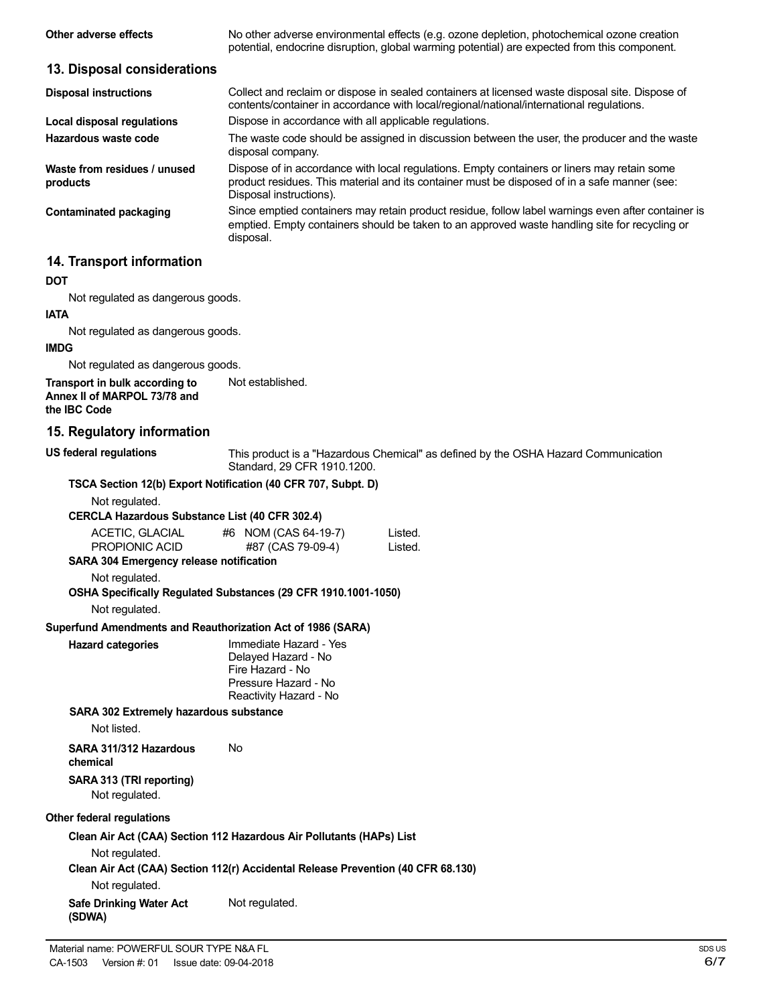| Other adverse effects                                                          | No other adverse environmental effects (e.g. ozone depletion, photochemical ozone creation<br>potential, endocrine disruption, global warming potential) are expected from this component.                             |  |  |
|--------------------------------------------------------------------------------|------------------------------------------------------------------------------------------------------------------------------------------------------------------------------------------------------------------------|--|--|
| 13. Disposal considerations                                                    |                                                                                                                                                                                                                        |  |  |
| <b>Disposal instructions</b>                                                   | Collect and reclaim or dispose in sealed containers at licensed waste disposal site. Dispose of<br>contents/container in accordance with local/regional/national/international regulations.                            |  |  |
| <b>Local disposal regulations</b>                                              | Dispose in accordance with all applicable regulations.                                                                                                                                                                 |  |  |
| Hazardous waste code                                                           | The waste code should be assigned in discussion between the user, the producer and the waste<br>disposal company.                                                                                                      |  |  |
| Waste from residues / unused<br>products                                       | Dispose of in accordance with local regulations. Empty containers or liners may retain some<br>product residues. This material and its container must be disposed of in a safe manner (see:<br>Disposal instructions). |  |  |
| <b>Contaminated packaging</b>                                                  | Since emptied containers may retain product residue, follow label warnings even after container is<br>emptied. Empty containers should be taken to an approved waste handling site for recycling or<br>disposal.       |  |  |
| 14. Transport information                                                      |                                                                                                                                                                                                                        |  |  |
| <b>DOT</b>                                                                     |                                                                                                                                                                                                                        |  |  |
| Not regulated as dangerous goods.                                              |                                                                                                                                                                                                                        |  |  |
| IATA                                                                           |                                                                                                                                                                                                                        |  |  |
| Not regulated as dangerous goods.<br><b>IMDG</b>                               |                                                                                                                                                                                                                        |  |  |
| Not regulated as dangerous goods.                                              |                                                                                                                                                                                                                        |  |  |
| Transport in bulk according to<br>Annex II of MARPOL 73/78 and<br>the IBC Code | Not established.                                                                                                                                                                                                       |  |  |
| 15. Regulatory information                                                     |                                                                                                                                                                                                                        |  |  |
| <b>US federal regulations</b>                                                  | This product is a "Hazardous Chemical" as defined by the OSHA Hazard Communication<br>Standard, 29 CFR 1910.1200.                                                                                                      |  |  |
|                                                                                | TSCA Section 12(b) Export Notification (40 CFR 707, Subpt. D)                                                                                                                                                          |  |  |
| Not regulated.                                                                 |                                                                                                                                                                                                                        |  |  |
| <b>CERCLA Hazardous Substance List (40 CFR 302.4)</b>                          |                                                                                                                                                                                                                        |  |  |
| ACETIC, GLACIAL<br>PROPIONIC ACID                                              | #6 NOM (CAS 64-19-7)<br>Listed.<br>#87 (CAS 79-09-4)<br>Listed.                                                                                                                                                        |  |  |
| <b>SARA 304 Emergency release notification</b>                                 |                                                                                                                                                                                                                        |  |  |
| Not regulated.                                                                 |                                                                                                                                                                                                                        |  |  |
| Not regulated.                                                                 | OSHA Specifically Regulated Substances (29 CFR 1910.1001-1050)                                                                                                                                                         |  |  |
| Superfund Amendments and Reauthorization Act of 1986 (SARA)                    |                                                                                                                                                                                                                        |  |  |
| <b>Hazard categories</b>                                                       | Immediate Hazard - Yes<br>Delayed Hazard - No<br>Fire Hazard - No<br>Pressure Hazard - No<br>Reactivity Hazard - No                                                                                                    |  |  |
| SARA 302 Extremely hazardous substance<br>Not listed.                          |                                                                                                                                                                                                                        |  |  |
| SARA 311/312 Hazardous<br>chemical                                             | No.                                                                                                                                                                                                                    |  |  |
| SARA 313 (TRI reporting)<br>Not regulated.                                     |                                                                                                                                                                                                                        |  |  |
| <b>Other federal regulations</b>                                               |                                                                                                                                                                                                                        |  |  |
|                                                                                | Clean Air Act (CAA) Section 112 Hazardous Air Pollutants (HAPs) List                                                                                                                                                   |  |  |
| Not regulated.                                                                 | Clean Air Act (CAA) Section 112(r) Accidental Release Prevention (40 CFR 68.130)                                                                                                                                       |  |  |
| Not regulated.                                                                 |                                                                                                                                                                                                                        |  |  |
| <b>Safe Drinking Water Act</b><br>(SDWA)                                       | Not regulated.                                                                                                                                                                                                         |  |  |